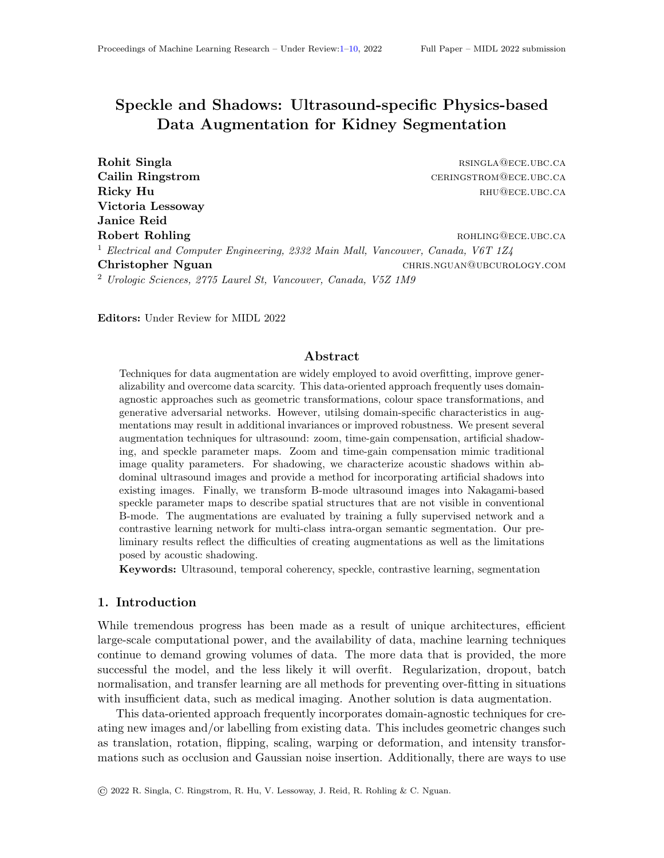# <span id="page-0-0"></span>Speckle and Shadows: Ultrasound-specific Physics-based Data Augmentation for Kidney Segmentation

Rohit Singla **rational results** respectively. The results of the results of the results of the results of the results of the results of the results of the results of the results of the results of the results of the results Cailin Ringstrom **ceringstrom** ceringstrom **ceringstrom ceringstrom ceringstrom ceringstrom ceringstrom ceringstrom ceringstrom ceringstrom ceringstrom ceringstrom ceringstrom ceringstrom c** Ricky Hu **Ricky** Hu **rhu Ricky** Hu **rhu RHU@ECE.UBC.CA** Victoria Lessoway Janice Reid Robert Rohling **Robert Rohling roughly** rotation **rotation**  $R$  *ROHLING@ECE.UBC.CA* <sup>1</sup> Electrical and Computer Engineering, 2332 Main Mall, Vancouver, Canada, V6T 1Z4 Christopher Nguan christopher Nguan christopher Nguan christopher Museum christopher Nguan christopher Nguan christopher Nguan christopher Nguan christopher Nguan christopher Nguan christopher Nguan christopher Nguan chris <sup>2</sup> Urologic Sciences, 2775 Laurel St, Vancouver, Canada, V5Z 1M9

Editors: Under Review for MIDL 2022

# Abstract

Techniques for data augmentation are widely employed to avoid overfitting, improve generalizability and overcome data scarcity. This data-oriented approach frequently uses domainagnostic approaches such as geometric transformations, colour space transformations, and generative adversarial networks. However, utilsing domain-specific characteristics in augmentations may result in additional invariances or improved robustness. We present several augmentation techniques for ultrasound: zoom, time-gain compensation, artificial shadowing, and speckle parameter maps. Zoom and time-gain compensation mimic traditional image quality parameters. For shadowing, we characterize acoustic shadows within abdominal ultrasound images and provide a method for incorporating artificial shadows into existing images. Finally, we transform B-mode ultrasound images into Nakagami-based speckle parameter maps to describe spatial structures that are not visible in conventional B-mode. The augmentations are evaluated by training a fully supervised network and a contrastive learning network for multi-class intra-organ semantic segmentation. Our preliminary results reflect the difficulties of creating augmentations as well as the limitations posed by acoustic shadowing.

Keywords: Ultrasound, temporal coherency, speckle, contrastive learning, segmentation

## 1. Introduction

While tremendous progress has been made as a result of unique architectures, efficient large-scale computational power, and the availability of data, machine learning techniques continue to demand growing volumes of data. The more data that is provided, the more successful the model, and the less likely it will overfit. Regularization, dropout, batch normalisation, and transfer learning are all methods for preventing over-fitting in situations with insufficient data, such as medical imaging. Another solution is data augmentation.

This data-oriented approach frequently incorporates domain-agnostic techniques for creating new images and/or labelling from existing data. This includes geometric changes such as translation, rotation, flipping, scaling, warping or deformation, and intensity transformations such as occlusion and Gaussian noise insertion. Additionally, there are ways to use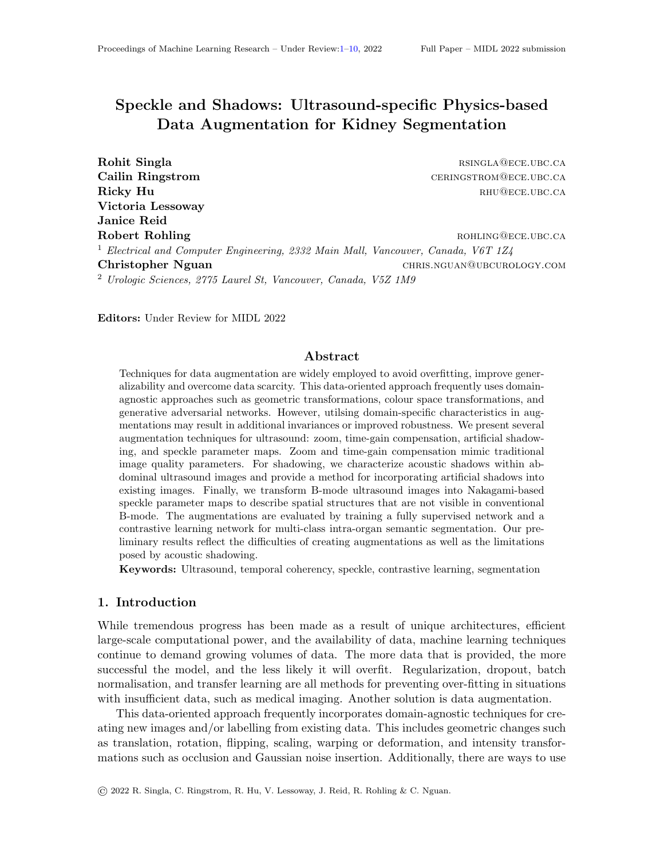deep learning such as generative adversarial networks or varational auto-encoders. [\(Pang](#page-9-1) [et al.,](#page-9-1) [2021;](#page-9-1) [Pesteie et al.,](#page-9-2) [2019;](#page-9-2) [Zaman et al.,](#page-9-3) [2020\)](#page-9-3) The application of these augmentations has demonstrated potential improvements in task accuracy.[\(Perez and Wang,](#page-9-4) [2017\)](#page-9-4)

Medical imaging modalities such as magnetic resonance imaging, computed tomography, and ultrasound, all exhibit characteristics unique from natural images. For instance, an ultrasound image is relies on time-of-flight for radio-frequency waves rather than light. When acoustic waves enter the body, they interact with the subsurface tissue structures. Different interactions will result in a change in the processed ultrasound image. Taking these distinctions into account, exploiting unique domain characteristics may result in augmentations that reflect previously overlooked or difficult data. For example, k-space sampling is used in augmenting magnetic resonance images [\(Liu et al.,](#page-9-5) [2019\)](#page-9-5) and acquisition parameters are modified in computed tomography[\(Omigbodun et al.,](#page-9-6) [2019\)](#page-9-6); both methods enable the creation of challenging data for a variety of tasks.

Recently, researchers have begun to examine how ultrasound-specific features might be employed to develop techniques for creating new augmentations.[\(Lee et al.,](#page-8-0) [2021\)](#page-8-0) and [\(Tirindelli et al.,](#page-9-7) [2021\)](#page-9-7) are recent examples. [\(Lee et al.,](#page-8-0) [2021\)](#page-8-0) develop a systematic technique for learning the ideal set of transformations to improve view classification. Their collection comprises 18 unique transformations such as grid distortion, elastic transform, and speckle. Their method trumps human selection, demanding the production of a bigger collection of possible changes. The authors provide deformation, reverberation, and signal-to-noise ratio as novel methodologies for bone segmentation and classification in [\(Tirindelli et al.,](#page-9-7) [2021\)](#page-9-7). While the initial results were modest improvements and necessitated prior knowledge of the region of interest, their approach is one of the first to depart from established strategies and incorporate understanding of the physics underlying ultrasound generation.

We propose three new contributions to ultrasound data augmentation based on these efforts and their physics-based and principled approaches: (1) zoom, (2) acoustic shadowing created artificially, and (3) speckle parameter maps. Zoom magnifies the ultrasound image while keeping the form of the ultrasound sector. Artificial acoustic shadowing augments existing ultrasound images with one of the most often reported imaging artefacts in ultrasound using a statistical approach. The speckle parameter maps are inspired by the concept of colour spaces and show previously unseen spatial patterns in conventional B-mode ultrasonography. The three augmentations are tested in training two architectures for multi-class intra-organ semantic segmentation.

## 2. Methods

While several parameters of an ultrasound machine can be configured, our selection of augmentations is based on (i) being organ-agnostic, allowing broad use across all ultrasound domains and (ii) rethinking how imaging artefacts how machine learning models.

Zoom and Time-Gain Compensation. Zoom and time-gain compensation are ones that sonographers often adjust manually to optimize the image quality. By modelling these, simulated images reflect a range of the different image qualities. The zoom augmentation is a third-degree spline interpolation on the image's centre, upscaling by a factor between 0 and 2.5. The upscaled image is masked to keep the sector shape. The zoomed image loses spatial resolution compared to the original. In ultrasound, time-gain compensation (TGC)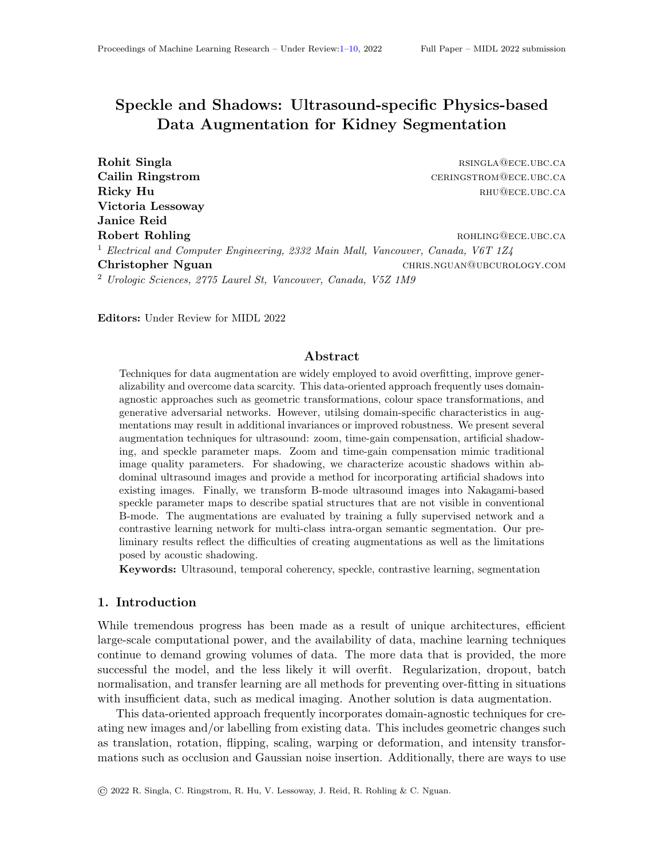

Figure 1: An example image with the four augmentations presented. Note the speckle augmentation here is the Nakagami shape parameter map.

is a way to reduce the impact of attenuation. To simulate it, we divide the sector into 10 crescent shaped segments. Ten is a common number of segments found in ultrasound; other numbers are possible. Each segment is randomly saturated between [0.5,2].

Acoustic Shadow. Acoustic shadowing is one of the most often encountered artefacts in ultrasound. Shadows in an image may be caused by insufficient contact between the transducer and the surface or locations with large acoustic impedance variations between tissue interfaces. While acoustic shadows are similar to occlusions, they are not zero. The pixels in shadow regions follow a Nakagami probability distribution.[\(Hu et al.,](#page-8-1) [2019a\)](#page-8-1)

The Nakagami distribution is a left-skewed distribution characterized by two parameters: shape m and scale  $\Omega$ . Given an image x, it's Nakagami distribution is defined as in (Equation [\(1\)](#page-2-0)).  $\Gamma(*)$  indicates the Gamma function.

<span id="page-2-0"></span>
$$
N(x; m, \Omega) = \frac{2m^m}{\Gamma(m)\Omega^m} x^{2m-1} e^{-\frac{m}{\Omega}x^2}
$$
\n(1)

[\(Hu et al.,](#page-8-2) [2019b\)](#page-8-2) were able to increase ultrasound segmentation performance by utilising this shadow detection as an attention mechanism in deep learning. We hypothesize that augmenting with shadows may improve the network by making it invariant to such artefacts.

We randomly sample 61 abdominal ultrasound images with an acoustic shadow artifact present. This data is separate and not included in any model training or evaluation. Acoustic shadows are manually segmented. A Nakagami distribution was fitted to each region in each image I using the estimators from [\(Kolar et al.,](#page-8-3) [2004\)](#page-8-3), as in Equation  $(2)$ and Equation  $(3)$ . These estimators make use of the image's expectation E and variance  $Var.$  After averaging the resulting values, a reference Nakagami distribution for abdominal acoustic shadows is created. The mean shape was  $m = 0.202$  and mean scale was  $\Omega = 189.3$ .

To generate the shadows, two parameters are required: the scanline indicating the shadow's centre  $i$  and the width  $w$ . The boundaries of the ultrasound are determined via edge detection and then simulated as two intersecting lines. Identifying this point of intersection enables the conversion of Cartesian to polar coordinates, which is required for curved transducers, the most common type of transducer for abdominal imaging. Within these boundaries, from the point of intersection, an angular position and width are randomly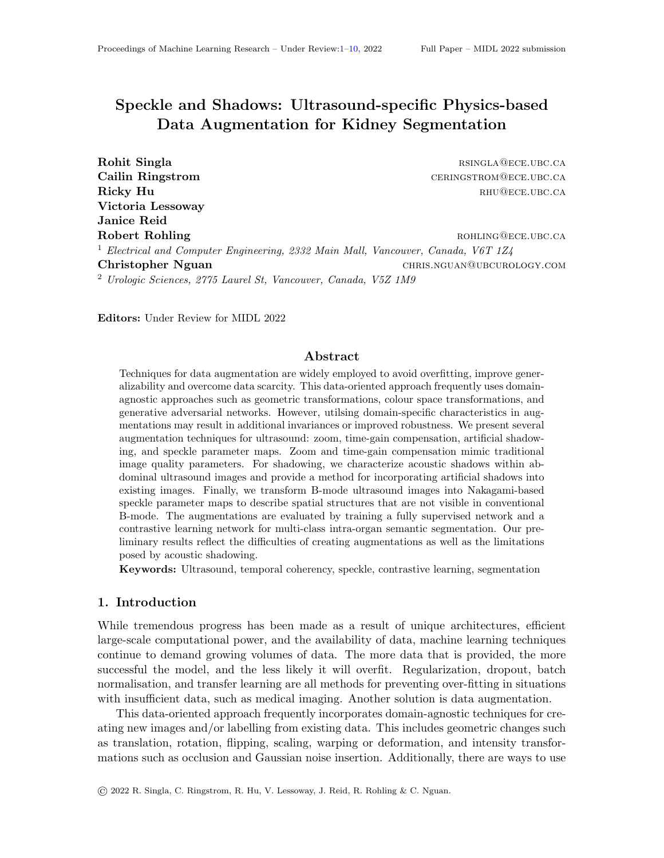

Figure 2: Constructing an acoustic shadow. Prior to any experiments, a set of shadows are manually segmented in a separate dataset. The mean Nakagami distribution is found. During training, the ultrasound sector mask is calculated through edge detection (2 and 3). An randomly selected scanline and width great a new mask (4). The mask's values are randomly drawn from the mean Nakagami distribution previously found, and applied to the original image (5).



<span id="page-3-0"></span>Figure 3: Example images of (left) a B-mode image, (middle) the Nakagami shape parameter map, and (right) the scale parameter map. Note how the shape map highlights features in the kidney not readily visible in B-mode.

selected. This defines a sector-sized mask. This mask's pixel values are replaced with values drawn from  $(N(x; 0.202, 189.3))$  and randomly placed in the image. Values beyond the [0,255] range were excluded and re-sampled. The ultrasound sector's boundaries are used to retain the original shape.

Speckle Parameter Maps. A parameter maps are generated by sliding a window across the image and calculating some metric on it. The center of the patch is assigned the result. In this manner, these maps are transformations of the original image. In ultrasound, using the Nakagami parameters to generate parameter maps may aid in segmentation. This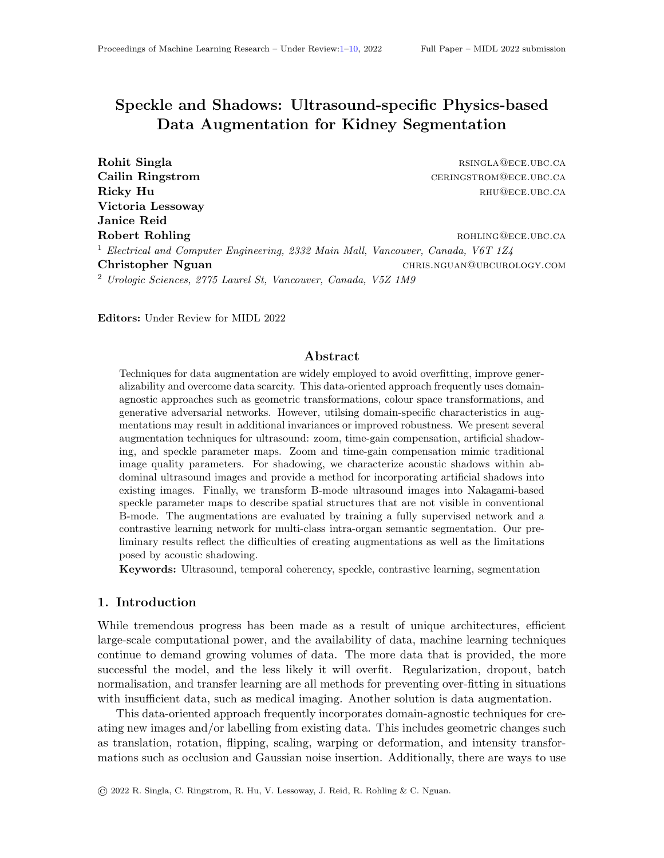is due to the the inherent relationship between the Nakagami distribution and the underlying tissue structures. We transform the ultrasound into "speckle space". First, we utilise a patch size of 20x20. The Nakagami parameters are fitted in each patch. Two output images are generated, one for each of the m and  $\Omega$  Nakagami parameters. The generated images are illustrated in Figure [3.](#page-3-0) While the ideal patch size calculation uses axial and lateral resolutions to compute the smallest window with relevant speckle (correlation length), we approximate it. The correlation length is on the order of a resolution cell.[\(Wagner,](#page-9-8) [1983\)](#page-9-8) [\(Byra et al.,](#page-8-4) [2016\)](#page-8-4) states that a window three times the pulse length is sufficient for speckle analysis. We can estimate the correlation length because the pulse length is on a similar order of magnitude to the correlation length. Given that the resolution cell of a curvilinear ultrasound transducer is typically 0.1 to 0.2 mm in diameter, and the image has an estimated pixel to millimetre ratio of 1 to 0.01, we choose a patch size of 20x20.

We view these maps as pseudo-labels, and use them to create new positive pairs in a contrastive network for medical image segmentation.[\(Chaitanya et al.,](#page-8-5) [2020\)](#page-8-5) Rather than selecting both parameter maps for augmentation, we follow the lead of [\(Tian et al.,](#page-9-9) [2020\)](#page-9-9) and choose the parameter map that is most likely to increase performance by supplementing the trained model with additional information. We compute the average mutual information of the B-mode image with each of the parameter maps and select the map with the minimum mutual information.

<span id="page-4-1"></span><span id="page-4-0"></span>
$$
m = \frac{E[I^2]^2}{Var[I^2]}
$$
 (2) 
$$
\Omega = E[I^2]
$$
 (3)

#### 2.1. Data Set and Experiments

Following permission by Institutional Research Ethics Board (H19-02669), 514 kidney ultrasound pictures were retrieved from the same number of patients(Vancouver General Hospital, Vancouver, BC). Manually prepared fine-grained polygon annotations for four classes (kidney capsule, cortex, medulla, and central echogenic complex) by two sonographers with a combined experience of more than 40 years. Approximately 7000 videos with approximately 200 frames were used for the pre-training in contrastive learning approaches. Curvilinear transducers were used. Imaging depths ranged from 5 to 16 cm.

We conduct three experiments. We employ nnU-net from [\(Isensee et al.,](#page-8-6) [2021\)](#page-8-6) as a representation of the state-of-the-art in fully supervised medical image segmentation in the first experiment. This network is data-adaptive, analysing the data set first (prior to augmentations) and then adjusting its training approach accordingly. We apply the zoom, TGC, shadow augmentations on the nnU-net, utilising all labelled data. Default pre-processing, training strategies and hyperparameters are used. A two-dimensional U-Net is trained for 500 epochs with an Adam optimizer, a combined loss of DSC and cross-entropy, a learning rate starting at 0.01 and annealed during training. Our augmentations had 20% chance of being applied to an image. In the second, we apply the contrastive learning segmentation network from [\(Chaitanya et al.,](#page-8-5) [2020\)](#page-8-5) to ultrasound images. Unlabelled image-level pairs are sampled as similar (positive) or dissimilar (negative) pairs to pre-train an encoder in the first step of this approach. The second stage pre-trains a decoder by sampling patches within images rather than complete images. These two steps use NT-Xent loss to consider augmentations as pseudo-labels. The batch size is 64. The third step is trained in a supervised manner, a DSC loss, and a batch size of 12. All steps use an Adam optimizer with a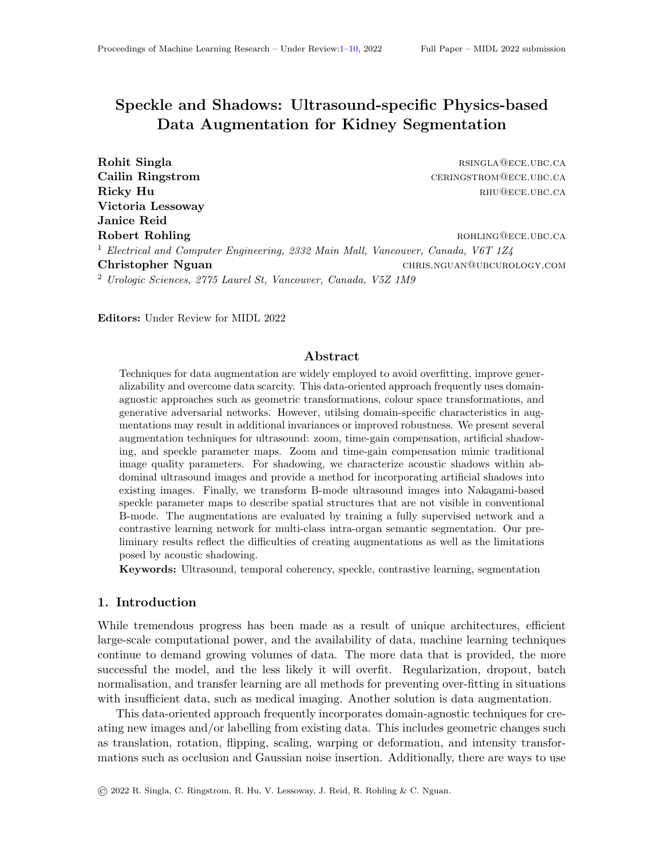<span id="page-5-0"></span>Table 1: The results of incorporating augmentations into the nnU-net from [\(Isensee et al.,](#page-8-6) [2021\)](#page-8-6). Measures are reported as average (DSC, HD), with the best value in bold. HD is reported in millimetres. For each column, the highest value is in bold and \* indicates statistical significance of a two-tailed t-test ( $p \leq 0.05$ ).

| Augmentation | Capsule    | CEC       | Medulla    | Cortex     | All        |
|--------------|------------|-----------|------------|------------|------------|
| $nnU-net$    | 0.85, 9.7  | 0.74, 8.4 | 0.56, 10.2 | 0.52, 13.0 | 0.67, 10.4 |
| $+$ Zoom     | 0.86, 10.8 | 0.77, 8.6 | 0.55, 10.5 | 0.51, 15.4 | 0.67, 11.3 |
| $+ TGC$      | 0.83, 10.6 | 0.76, 9.3 | 0.58, 10.7 | 0.54, 12.8 | 0.69, 10.9 |
| $+$ Shadow   | 0.82, 11.6 | 0.75, 9.7 | 0.49, 11.6 | 0.46, 13.4 | 0.63, 11.7 |

learning rate of 0.001, and 10,000, 5000, and 10,000 epochs, respectively. We train models with standard augmentations then with each one of our proposed algorithms. This is performed for 1%, 10%, 50%, and 100% of labels. Finally, we investigate changes in network uncertainty. Our uncertainty metric is the averaged variance after Monte Carlo dropout for 500 iterations.[\(Camarasa et al.,](#page-8-7) [2020\)](#page-8-7) The results are expressed as the mean Dice-Sørensen coefficient (DSC), Hausdorff distance (HD) or averaged variance (AV). Augmentations code is available at https://github.com/rsingla92/speckle n shadow.

## 3. Results

The average mutual information for the shape parameter map was 0.40, and was 0.60 for the scale parameter map. All subsequent tests utilise the Nakagami shape parameter map as an augmentation. Table [1](#page-5-0) summarises Experiment 1 (augmentations in fully supervised learning). In the fully supervised setting, the state-of-the-art nnU-net did not statistically significantly differ in its DSC or HD values across all four classes as compared to default augmentations. Table [2](#page-7-0) summarises Experiment 2 (augmentations in contrastive learning). Figure [4](#page-6-0) compares the segmentations graphically. Table [3](#page-7-1) summarises the uncertainty experiments. TGC has significantly improved uncertainty on most classes for the nnU-net while it has significant worse uncertainty in the contrastive network.

## 4. Discussion and Conclusion

We study zoom, TGC, artificial acoustic shadow and speckle parameter maps in this work, demonstrating the effects of such augmentations on DSC, HD, and AV in multi-class intraorgan ultrasound semantic segmentation. Unlike other works, our augmentations require no knowledge of the underlying tissues or transducer. The preliminary results are inconclusive. Individually, the added augmentations demonstrated mixed results.

First, we observe no statistically significant changes in DSC or HD when adding our augmentations to nnU-net. Only augmenting with TGC, an intensity based augmentation, significantly improved uncertainty in three of four classes. In the contrastive network, we observe no clear pattern. In certain models and classes, an improvement is observed. However, no augmentation provides consistent benefit to DSC or HD. The impact of TGC on uncertainty in contrastive learning was the opposite than in nnU-net as three classes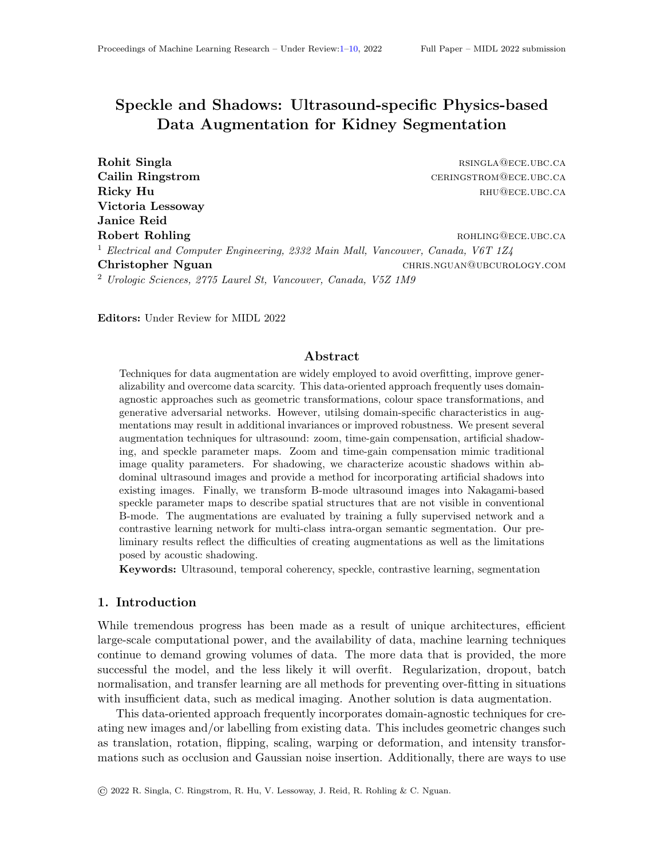had worsened uncertainty. The differences may be in how supervised methods learn in label space, whereas contrastive ones learn representation. The mixed results highlight that designing effective augmentations which add meaningful invariances without sacrificing accuracy is difficult to perfect; an augmentation may benefit one paradigm but not the other.

Second, shadow augmentation was consistently inferior. Because we ignored the shadow's spatial structure, our shadows spanned the entire image vertically. Small shadows at tissue interfaces in the image may help, such as in bones. Acoustic shadowing is based on an  $a$ priori known Nakagami distribution of shadow artefacts. Its parameter estimation may be improved by optimising the patch size or using the raw radiofrequency data rather.

Third, the nnU-net has a mean DSC of 0.67. Given this relatively low value, and knowing the cortex and medulla classes constitute 5-10% of the total image, we explored how sensitive DSC would be to small changes. A 10-pixel erosion/dilation on the ground truth caused up to a 30% change in DSC. Fourth, augmentations can be unrealistic augmentations,such as cutmix or mixup which demonstrated performance gains.[\(French et al.,](#page-8-8) [2019;](#page-8-8) [Chen et al.,](#page-8-9) [2019\)](#page-8-9) Consideration of how augmentations like shadow and speckle could be incorporated in unrealistic manners or in local symmetries may be worthwhile for ultrasound augmentations.[\(Winkels and Cohen,](#page-9-10) [2019\)](#page-9-10)

Additional ultrasound data sets will be used in future research to compare physicsbased and learned augmentations. Alternatively, including our augmentations in the search strategy from [\(Lee et al.,](#page-8-0) [2021\)](#page-8-0) may prove fruitful. In conclusion, we contribute a) a timegain compensation augmentation which shows decreased uncertainty in supervised settings and b) an acoustic shadow distribution and method to create artificial shadows applicable for



<span id="page-6-0"></span>Figure 4: Predicted segmentation mask visualisation. From left to right: the original Bmode image, the expert's ground truth, the network's result without our augmentations, and the network's result with them. The first row shows a nnU-net with zoom and shadow augmentations, and the second a contrastive network with 50% of labels and the speckle parameter map augmentation.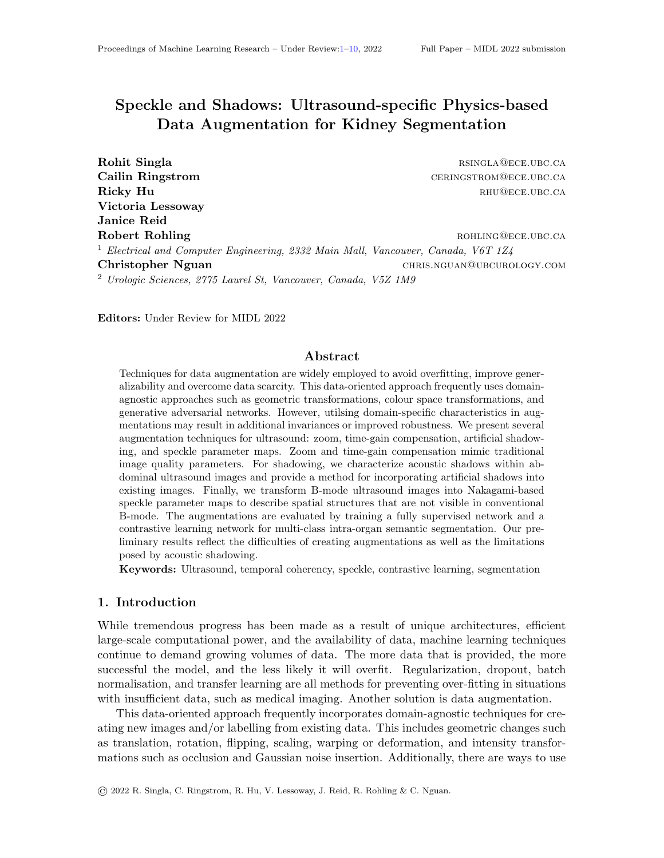<span id="page-7-0"></span>

|  |  | Table 2: The results of augmentations in the contrastive network using different amounts |  |  |  |
|--|--|------------------------------------------------------------------------------------------|--|--|--|
|  |  | of data. Measures are (mean DSC, mean HD). HD is in millimeters. For each                |  |  |  |
|  |  | block, the highest value is in bold and statistical significance indicated by *.         |  |  |  |

| Augmentation     | Percent | Capsule         | ${\rm CEC}$      | Medulla                      | $\operatorname{Cortex}$ | All             |
|------------------|---------|-----------------|------------------|------------------------------|-------------------------|-----------------|
| Chaitanya et al. | $1\%$   | 0.52, 27.3      | 0.29, 32.8       | 0.21, 25.0                   | 0.13, 27.0              | 0.29, 28.0      |
| $+$ Zoom         | $1\%$   | $0.38, 53.6^*$  | $0.29, 39.4*$    | 0.24, 27.7                   | 0.13, 26.5              | $0.26, 26.8*$   |
| $+ \mathrm{TGC}$ | $1\%$   | $0.56^*$ , 30.6 | $0.34^*$ , 35.9  | $0.19, 32.0*$                | $0.05^*$ , 33.2         | 0.28, 33.0      |
| $+$ Shadow       | $1\%$   | 0.51, 31.0      | $0.17^*, 30.0$   | 0.24, 22.6                   | 0.15, 29.8              | 0.27, 28.4      |
| $+$ Speckle Map  | $1\%$   | $0.42^*, 31.6$  | 0.27, 26.1       | $0.25^*$ , 22.9              | 0.10, 26.6              | $0.26, 26.8*$   |
| Chaitanya et al. | $10\%$  | 0.75, 18.9      | 0.59, 15.0       | 0.31, 15.4                   | 0.20, 19.2              | 0.47, 17.1      |
| $+$ Zoom         | $10\%$  | $0.73, 16.6*$   | $0.50, 23.7*$    | $0.25^*$ , 19.6 <sup>*</sup> | 0.20, 19.3              | 0.42, 19.8      |
| $+ \mathrm{TGC}$ | $10\%$  | $0.74, 16.7*$   | 0.46, 17.8       | 0.32, 16.2                   | $0.25^*$ , 19.0         | 0.44, 17.4      |
| $+$ Shadow       | $10\%$  | 0.74, 23.7      | $0.45^*, 18.6$   | 0.26, 15.7                   | $0.15^*, 21.1$          | 0.40, 19.8      |
| $+$ Speckle Map  | $10\%$  | 0.71, 19.6      | $0.44^*, 21.2^*$ | 0.32, 16.5                   | 0.19, 18.0              | $0.41^*$ , 18.6 |
| Chaitanya et al. | $50\%$  | 0.80, 13.7      | 0.65, 12.5       | 0.36, 14.2                   | 0.26, 16.1              | 0.52, 14.1      |
| $+$ Zoom         | $50\%$  | 0.81, 12.4      | 0.64, 14.0       | 0.35, 14.0                   | $0.31^*, 15.8$          | 0.52, 14.1      |
| $+ \mathrm{TGC}$ | $50\%$  | 0.84, 13.5      | $0.62, 18.8*$    | 0.32, 16.7                   | 0.26, 18.6              | 0.50, 16.9      |
| $+$ Shadow       | $50\%$  | 0.79, 14.6      | 0.65, 17.2       | 0.34, 15.3                   | 0.24, 14.0              | 0.50, 15.3      |
| $+$ Speckle Map  | $50\%$  | 0.81, 13.4      | 0.61, 17.6       | 0.34, 16.5                   | 0.27, 21.3              | 0.51, 17.2      |
| Chaitanya et al. | 100\%   | 0.82, 11.3      | 0.67, 12.8       | 0.38, 15.7                   | 0.30, 24.8              | 0.54, 16.1      |
| $+$ Zoom         | 100\%   | 0.82, 10.9      | 0.67, 10.7       | 0.40, 12.4                   | 0.32, 14.8              | 0.55, 12.2      |
| $+ \mathrm{TGC}$ | $100\%$ | 0.82, 11.0      | 0.67, 11.5       | 0.37, 16.6                   | 0.32, 16.4              | 0.54, 13.9      |
| $+$ Shadow       | $100\%$ | 0.80, 14.0      | 0.65, 11.0       | 0.37, 11.9                   | 0.32, 14.2              | 0.54, 12.8      |
| $+$ Speckle Map  | 100\%   | 0.80, 13.7      | $0.70, 9.0*$     | $0.37, 11.3*$                | $0.30, 14.0^*$          | $0.55, 12.0*$   |

<span id="page-7-1"></span>Table 3: The averaged variances from adding augmentations into nnU-net and a contrastive network. Lowest values bolded. \* indicates statistical significance ( $p \leq 0.05$ ).

| Augmentation     | Capsule               | ${\bf CEC}$           | Medulla               | $\operatorname{Cortex}$ | All                    |
|------------------|-----------------------|-----------------------|-----------------------|-------------------------|------------------------|
| $nnU-net$        | $3.2\times10^{-6}$    | $9.7 \times 10^{-7}$  | $1.5 \times 10^{-6}$  | $1.3 \times 10^{-6}$    | $1.8 \times 10^{-6}$   |
| $+$ Zoom         | $3.2\times10^{-6}$    | $1.4 \times 10^{-6}$  | $1.9 \times 10^{-3}$  | $2.1 \times 10^{-6}$    | $2.2 \times 10^{-6}$ * |
| $+ \mathrm{TGC}$ | $4.9 \times 10^{-6}$  | $5.3\times10^{-7*}$   | $4.8\times10^{-7*}$   | $6.0\times10^{-7*}$     | $1.6\times10^{-6}$     |
| $+$ Shadow       | $5.4 \times 10^{-6}$  | $6.8 \times 10^{-7}$  | $1.1 \times 10^{-6}$  | $1.2 \times 10^{-6}$    | $2.1 \times 10^{-6}$   |
| Chaitanya et al. | $2.6 \times 10^{-4}$  | $5.1 \times 10^{-4}$  | $5.4\times10^{-4}$    | $1.1 \times 10^{-3}$    | $5.9 \times 10^{-4}$   |
| $+$ Zoom         | $2.5\times10^{-5}*$   | $6.0 \times 10^{-4*}$ | $5.5 \times 10^{-4}$  | $9.2 \times 10^{-4*}$   | $5.9 \times 10^{-4}$   |
| $+$ TGC          | $2.3 \times 10^{-4*}$ | $7.4 \times 10^{-4*}$ | $9.4 \times 10^{-4*}$ | $1.3\times10^{-4*}$     | $8.1 \times 10^{-4*}$  |
| $+$ Shadow       | $2.6 \times 10^{-4}$  | $4.4\times10^{-4*}$   | $6.2 \times 10^{-4*}$ | $1.0 \times 10^{-3}$    | $5.9 \times 10^{-4}$   |
| $+$ Speckle Map  | $2.7 \times 10^{-4}$  | $4.6 \times 10^{-4*}$ | $5.7 \times 10^{-4}$  | $6.7 \times 10^{-4*}$   | $4.9 \times 10^{-4*}$  |

abdominal imaging, and c) a thorough and systematic approach to evaluating augmentations in supervised and contrastive settings. Exploring how inherent ultrasound properties, such as speckle and shadow, can be used to optimise task performance or robustness is an existing avenue for research.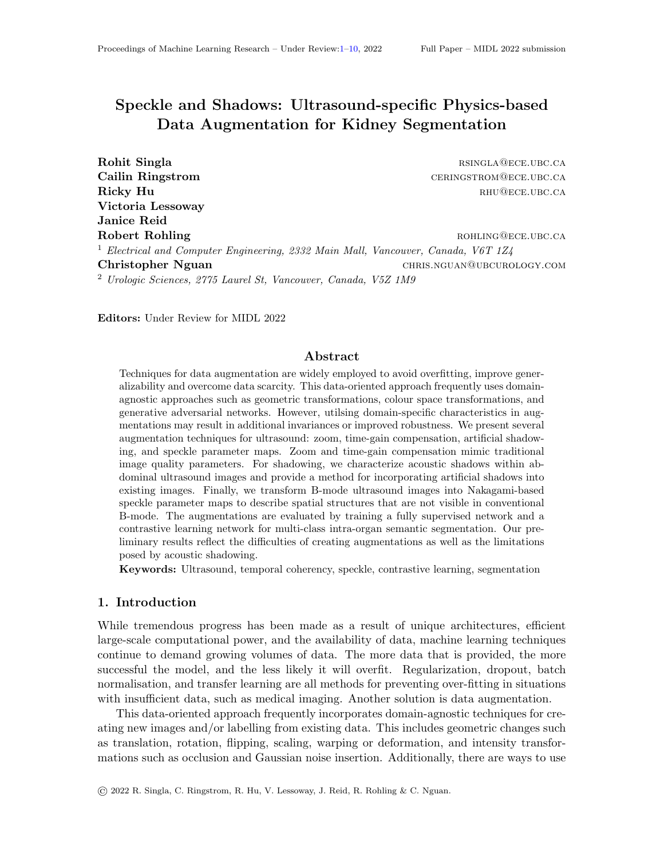# Acknowledgments

The authors thank the Natural Sciences and Engineering Research Council of Canada, the Kidney Foundation of Canada, and the Vanier Canada Graduate Scholarship for their funding support. The authors thank Tim Salcudean for infrastructure and support.

# References

- <span id="page-8-4"></span>Michał Byra, Andrzej Nowicki, Hanna Wróblewska-Piotrzkowska, and Katarzyna Dobruch-Sobczak. Classification of breast lesions using segmented quantitative ultrasound maps of homodyned k distribution parameters. Medical Physics, 43(10):5561–5569, 2016. doi: 10.1118/1.4962928.
- <span id="page-8-7"></span>Robin Camarasa, Daniel Bos, Jeroen Hendrikse, Paul Nederkoorn, Eline Kooi, Aad van der Lugt, and Marleen de Bruijne. Quantitative comparison of monte-carlo dropout uncertainty measures for multi-class segmentation. In Uncertainty for Safe Utilization of Machine Learning in Medical Imaging, and Graphs in Biomedical Image Analysis, pages 32–41. Springer, 2020.
- <span id="page-8-5"></span>Krishna Chaitanya, Ertunc Erdil, Neerav Karani, and Ender Konukoglu. Contrastive learning of global and local features for medical image segmentation with limited annotations. arXiv preprint arXiv:2006.10511, 2020.
- <span id="page-8-9"></span>Liang Chen, Paul Bentley, Kensaku Mori, Kazunari Misawa, Michitaka Fujiwara, and Daniel Rueckert. Self-supervised learning for medical image analysis using image context restoration. Medical image analysis, 58:101539, 2019.
- <span id="page-8-8"></span>Geoff French, Samuli Laine, Timo Aila, Michal Mackiewicz, and Graham Finlayson. Semisupervised semantic segmentation needs strong, varied perturbations. arXiv preprint arXiv:1906.01916, 2019.
- <span id="page-8-1"></span>Ricky Hu, Rohit Singla, Farah Deeba, and Robert N Rohling. Acoustic shadow detection: study and statistics of b-mode and radiofrequency data. Ultrasound in medicine  $\mathcal C$  biology, 45(8):2248–2257, 2019a.
- <span id="page-8-2"></span>Ricky Hu, Rohit Singla, Ryan Yan, Chantal Mayer, and Robert N Rohling. Automated placenta segmentation with a convolutional neural network weighted by acoustic shadow detection. In 2019 41st Annual International Conference of the IEEE Engineering in Medicine and Biology Society (EMBC), pages 6718–6723. IEEE, 2019b.
- <span id="page-8-6"></span>Fabian Isensee, Paul F Jaeger, Simon AA Kohl, Jens Petersen, and Klaus H Maier-Hein. nnu-net: a self-configuring method for deep learning-based biomedical image segmentation. Nature methods, 18(2):203–211, 2021.
- <span id="page-8-3"></span>Radim Kolar, Radovan Jirik, and Jiri Jan. Estimator comparison of the nakagami-m parameter and its application in echocardiography. Radioengineering, 13(1):8–12, 2004.
- <span id="page-8-0"></span>Lok Hin Lee, Yuan Gao, and J Alison Noble. Principled ultrasound data augmentation for classification of standard planes. In International Conference on Information Processing in Medical Imaging, pages 729–741. Springer, 2021.